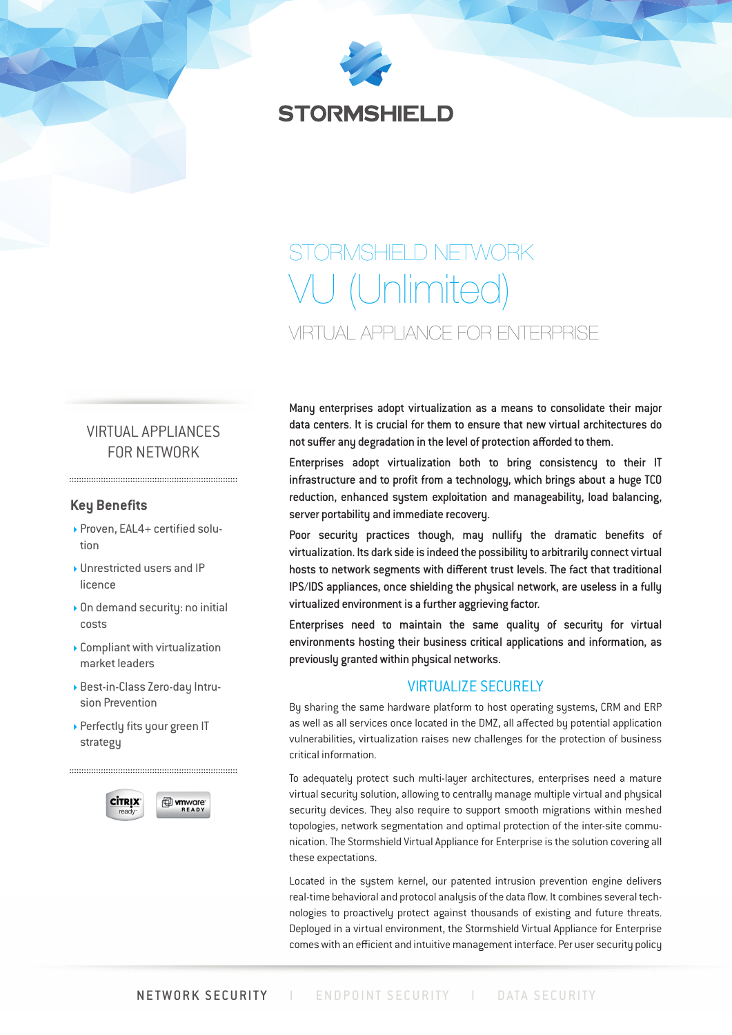

# STORMSHIELD NETWORK VU (Unlimited) VIRTUAL APPLIANCE FOR ENTERPRISE

## VIRTUAL APPLIANCES FOR NETWORK

#### **Key Benefits**

- ▶ Proven, EAL4+ certified solution
- Unrestricted users and IP licence
- On demand security: no initial costs
- Compliant with virtualization market leaders
- Best-in-Class Zero-day Intrusion Prevention
- Perfectly fits your green IT strategy



Many enterprises adopt virtualization as a means to consolidate their major data centers. It is crucial for them to ensure that new virtual architectures do not suffer any degradation in the level of protection afforded to them.

Enterprises adopt virtualization both to bring consistency to their IT infrastructure and to profit from a technology, which brings about a huge TCO reduction, enhanced system exploitation and manageability, load balancing, server portability and immediate recovery.

Poor security practices though, may nullify the dramatic benefits of virtualization. Its dark side is indeed the possibility to arbitrarily connect virtual hosts to network segments with different trust levels. The fact that traditional IPS/IDS appliances, once shielding the physical network, are useless in a fully virtualized environment is a further aggrieving factor.

Enterprises need to maintain the same quality of security for virtual environments hosting their business critical applications and information, as previously granted within physical networks.

## VIRTUALIZE SECURELY

By sharing the same hardware platform to host operating systems, CRM and ERP as well as all services once located in the DMZ, all affected by potential application vulnerabilities, virtualization raises new challenges for the protection of business critical information.

To adequately protect such multi-layer architectures, enterprises need a mature virtual security solution, allowing to centrally manage multiple virtual and physical security devices. They also require to support smooth migrations within meshed topologies, network segmentation and optimal protection of the inter-site communication. The Stormshield Virtual Appliance for Enterprise is the solution covering all these expectations.

Located in the system kernel, our patented intrusion prevention engine delivers real-time behavioral and protocol analysis of the data flow. It combines several technologies to proactively protect against thousands of existing and future threats. Deployed in a virtual environment, the Stormshield Virtual Appliance for Enterprise comes with an efficient and intuitive management interface. Per user security policy